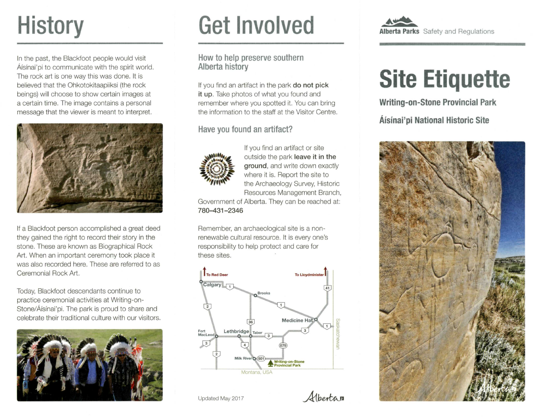## **History**

In the past, the Blackfoot people would visit Âfsfnai'pi to communicate with the spirit world. The rock art is one way this was done. It is believed that the Ohkotokitaapiiksi (the rock beings) will choose to show certain images at a certain time. The image contains a personal message that the viewer is meant to interpret.



If a Blackfoot person accomplished a great deed they gained the right to record their story in the stone. These are known as Biographical Rock Art. When an important ceremony took place it was also recorded here. These are referred to as Ceremonial Rock Art.

Today, Blackfoot descendants continue to practice ceremonial activities at Writing-on-Stone/Âisinai'pi. The park is proud to share and celebrate their traditional culture with our visitors.



## **Get Involved**

#### How to help preserve southern Alberta history

If you find an artifact in the park **do not pick it up.** Take photos of what you found and remember where you spotted it. You can bring the information to the staff at the Visitor Centre.

Have you found an artifact?



If you find an artifact or site outside the park **leave it in the ground,** and write down exactly where it is. Report the site to the Archaeology Survey, Historic Resources Management Branch,

Government of Alberta. They can be reached at: **780-431-2346** 

Remember, an archaeological site is a nonrenewable cultural resource. It is every one's responsibility to help protect and care for these sites.



Updated May 2017 **Alberta** 



## **Site Etiquette**

**Writing-on-Stone Provincial Park** 

**Âisinai'pi National Historic Site**